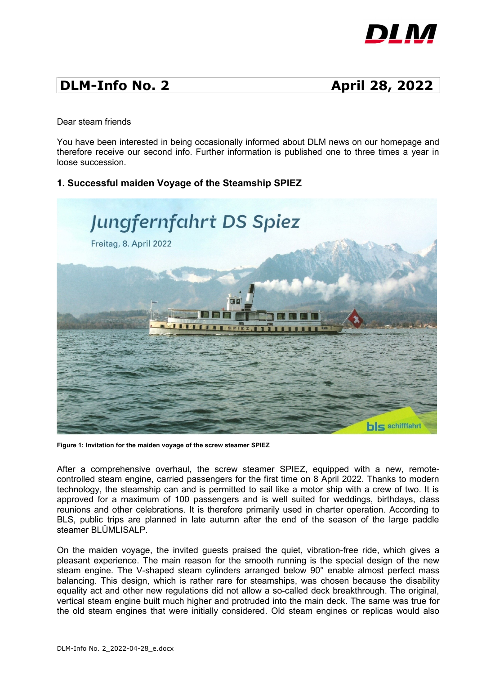

# **DLM-Info No. 2 April 28, 2022**

Dear steam friends

You have been interested in being occasionally informed about DLM news on our homepage and therefore receive our second info. Further information is published one to three times a year in loose succession.

## **1. Successful maiden Voyage of the Steamship SPIEZ**



**Figure 1: Invitation for the maiden voyage of the screw steamer SPIEZ**

After a comprehensive overhaul, the screw steamer SPIEZ, equipped with a new, remotecontrolled steam engine, carried passengers for the first time on 8 April 2022. Thanks to modern technology, the steamship can and is permitted to sail like a motor ship with a crew of two. It is approved for a maximum of 100 passengers and is well suited for weddings, birthdays, class reunions and other celebrations. It is therefore primarily used in charter operation. According to BLS, public trips are planned in late autumn after the end of the season of the large paddle steamer BLÜMLISALP.

On the maiden voyage, the invited guests praised the quiet, vibration-free ride, which gives a pleasant experience. The main reason for the smooth running is the special design of the new steam engine. The V-shaped steam cylinders arranged below 90° enable almost perfect mass balancing. This design, which is rather rare for steamships, was chosen because the disability equality act and other new regulations did not allow a so-called deck breakthrough. The original, vertical steam engine built much higher and protruded into the main deck. The same was true for the old steam engines that were initially considered. Old steam engines or replicas would also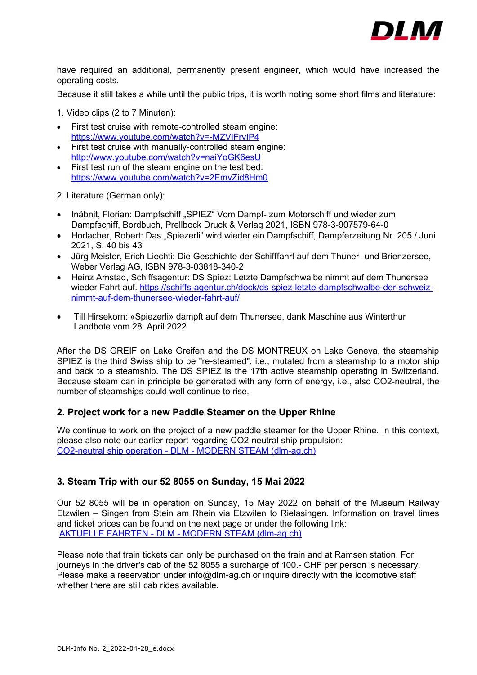

have required an additional, permanently present engineer, which would have increased the operating costs.

Because it still takes a while until the public trips, it is worth noting some short films and literature:

1. Video clips (2 to 7 Minuten):

- First test cruise with remote-controlled steam engine: <https://www.youtube.com/watch?v=-MZVIFrvIP4>
- First test cruise with manually-controlled steam engine: http://www.youtube.com/watch?v=naiYoGK6esU
- First test run of the steam engine on the test bed: <https://www.youtube.com/watch?v=2EmvZid8Hm0>

2. Literature (German only):

- Inäbnit, Florian: Dampfschiff "SPIEZ" Vom Dampf- zum Motorschiff und wieder zum Dampfschiff, Bordbuch, Prellbock Druck & Verlag 2021, ISBN 978-3-907579-64-0
- Horlacher, Robert: Das "Spiezerli" wird wieder ein Dampfschiff, Dampferzeitung Nr. 205 / Juni 2021, S. 40 bis 43
- Jürg Meister, Erich Liechti: Die Geschichte der Schifffahrt auf dem Thuner- und Brienzersee, Weber Verlag AG, ISBN 978-3-03818-340-2
- Heinz Amstad, Schiffsagentur: DS Spiez: Letzte Dampfschwalbe nimmt auf dem Thunersee wieder Fahrt auf. [https://schiffs-agentur.ch/dock/ds-spiez-letzte-dampfschwalbe-der-schweiz](https://schiffs-agentur.ch/dock/ds-spiez-letzte-dampfschwalbe-der-schweiz-nimmt-auf-dem-thunersee-wieder-fahrt-auf/)[nimmt-auf-dem-thunersee-wieder-fahrt-auf/](https://schiffs-agentur.ch/dock/ds-spiez-letzte-dampfschwalbe-der-schweiz-nimmt-auf-dem-thunersee-wieder-fahrt-auf/)
- Till Hirsekorn: «Spiezerli» dampft auf dem Thunersee, dank Maschine aus Winterthur Landbote vom 28. April 2022

After the DS GREIF on Lake Greifen and the DS MONTREUX on Lake Geneva, the steamship SPIEZ is the third Swiss ship to be "re-steamed", i.e., mutated from a steamship to a motor ship and back to a steamship. The DS SPIEZ is the 17th active steamship operating in Switzerland. Because steam can in principle be generated with any form of energy, i.e., also CO2-neutral, the number of steamships could well continue to rise.

### **2. Project work for a new Paddle Steamer on the Upper Rhine**

We continue to work on the project of a new paddle steamer for the Upper Rhine. In this context, please also note our earlier report regarding CO2-neutral ship propulsion: [CO2-neutral ship operation - DLM - MODERN STEAM \(dlm-ag.ch\)](https://dlm-ag.ch/en/co2-neutraler-schiffsbetrieb/)

## **3. Steam Trip with our 52 8055 on Sunday, 15 Mai 2022**

Our 52 8055 will be in operation on Sunday, 15 May 2022 on behalf of the Museum Railway Etzwilen – Singen from Stein am Rhein via Etzwilen to Rielasingen. Information on travel times and ticket prices can be found on the next page or under the following link: [AKTUELLE FAHRTEN - DLM - MODERN STEAM \(dlm-ag.ch\)](https://dlm-ag.ch/current-trips/)

Please note that train tickets can only be purchased on the train and at Ramsen station. For journeys in the driver's cab of the 52 8055 a surcharge of 100.- CHF per person is necessary. Please make a reservation under info@dlm-ag.ch or inquire directly with the locomotive staff whether there are still cab rides available.